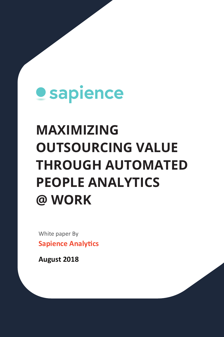# **Sapience**

## **MAXIMIZING OUTSOURCING VALUE THROUGH AUTOMATED PEOPLE ANALYTICS @ WORK**

White paper By **Sapience Analytics** 

**August 2018**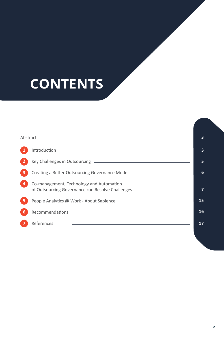## **CONTENTS**

|   |                                                                                                                              | 5  |
|---|------------------------------------------------------------------------------------------------------------------------------|----|
| 3 | Creating a Better Outsourcing Governance Model _________________________________                                             | 6  |
|   | Co-management, Technology and Automation<br>of Outsourcing Governance can Resolve Challenges _______________________________ |    |
|   |                                                                                                                              | 15 |
| 6 |                                                                                                                              | 16 |
|   | References                                                                                                                   | 17 |
|   |                                                                                                                              |    |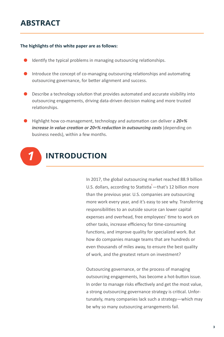## **ABSTRACT**

#### **The highlights of this white paper are as follows:**

- Identify the typical problems in managing outsourcing relationships.
- Introduce the concept of co-managing outsourcing relationships and automating outsourcing governance, for better alignment and success.
- $\bullet$  Describe a technology solution that provides automated and accurate visibility into outsourcing engagements, driving data-driven decision making and more trusted relationships.
- Highlight how co-management, technology and automation can deliver a 20+% *increase in value creation or 20+% reduction in outsourcing costs* (depending on business needs), within a few months.



In 2017, the global outsourcing market reached 88.9 billion U.S. dollars, according to Statistia<sup>1</sup>—that's 12 billion more than the previous year. U.S. companies are outsourcing more work every year, and it's easy to see why. Transferring responsibilities to an outside source can lower capital expenses and overhead, free employees' time to work on other tasks, increase efficiency for time-consuming functions, and improve quality for specialized work. But how do companies manage teams that are hundreds or even thousands of miles away, to ensure the best quality of work, and the greatest return on investment?

Outsourcing governance, or the process of managing outsourcing engagements, has become a hot-button issue. In order to manage risks effectively and get the most value, a strong outsourcing governance strategy is critical. Unfortunately, many companies lack such a strategy—which may be why so many outsourcing arrangements fail.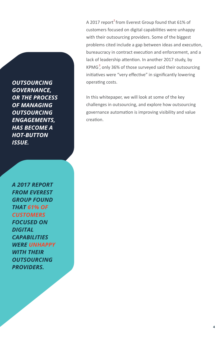*OUTSOURCING GOVERNANCE, OR THE PROCESS OF MANAGING OUTSOURCING ENGAGEMENTS, HAS BECOME A HOT-BUTTON ISSUE.*

*A 2017 REPORT FROM EVEREST GROUP FOUND THAT 61% OF FOCUSED ON DIGITAL CAPABILITIES WERE UNHAPPY WITH THEIR OUTSOURCING PROVIDERS.*

A 2017 report<sup>2</sup> from Everest Group found that 61% of customers focused on digital capabilities were unhappy with their outsourcing providers. Some of the biggest problems cited include a gap between ideas and execution, bureaucracy in contract execution and enforcement, and a lack of leadership attention. In another 2017 study, by KPMG<sup>3</sup>, only 36% of those surveyed said their outsourcing initiatives were "very effective" in significantly lowering operating costs.

In this whitepaper, we will look at some of the key challenges in outsourcing, and explore how outsourcing governance automation is improving visibility and value creation.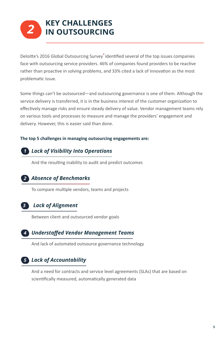## *2* **KEY CHALLENGES IN OUTSOURCING**

Deloitte's 2016 Global Outsourcing Survey<sup>4</sup> identified several of the top issues companies face with outsourcing service providers. 46% of companies found providers to be reactive rather than proactive in solving problems, and 33% cited a lack of innovation as the most problema�c issue.

Some things can't be outsourced—and outsourcing governance is one of them. Although the service delivery is transferred, it is in the business interest of the customer organization to effectively manage risks and ensure steady delivery of value. Vendor management teams rely on various tools and processes to measure and manage the providers' engagement and delivery. However, this is easier said than done.

#### **The top 5 challenges in managing outsourcing engagements are:**

## *1 Lack of Visibility Into Operations*

And the resulting inability to audit and predict outcomes

## *2 Absence of Benchmarks*

To compare multiple vendors, teams and projects

## *Lack of Alignment 3*

Between client and outsourced vendor goals

## *Understaffed Vendor Management Teams 4*

And lack of automated outsource governance technology

## *Lack of Accountability 5*

And a need for contracts and service level agreements (SLAs) that are based on scientifically measured, automatically generated data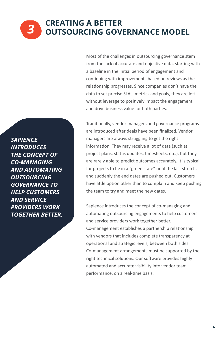Most of the challenges in outsourcing governance stem from the lack of accurate and objective data, starting with a baseline in the initial period of engagement and continuing with improvements based on reviews as the relationship progresses. Since companies don't have the data to set precise SLAs, metrics and goals, they are left without leverage to positively impact the engagement and drive business value for both parties.

Traditionally, vendor managers and governance programs are introduced after deals have been finalized. Vendor managers are always struggling to get the right information. They may receive a lot of data (such as project plans, status updates, timesheets, etc.), but they are rarely able to predict outcomes accurately. It is typical for projects to be in a "green state" until the last stretch, and suddenly the end dates are pushed out. Customers have little option other than to complain and keep pushing the team to try and meet the new dates.

Sapience introduces the concept of co-managing and automating outsourcing engagements to help customers and service providers work together better. Co-management establishes a partnership relationship with vendors that includes complete transparency at operational and strategic levels, between both sides. Co-management arrangements must be supported by the right technical solutions. Our software provides highly automated and accurate visibility into vendor team performance, on a real-time basis.

*SAPIENCE INTRODUCES THE CONCEPT OF CO-MANAGING AND AUTOMATING OUTSOURCING GOVERNANCE TO HELP CUSTOMERS AND SERVICE PROVIDERS WORK TOGETHER BETTER.* 

*3*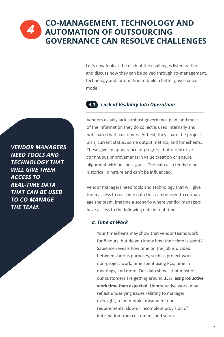Let's now look at the each of the challenges listed earlier and discuss how they can be solved through co-management, technology and automation to build a better governance model.

## *4.1 Lack of Visibility Into Operations*

Vendors usually lack a robust governance plan, and most of the information they do collect is used internally and not shared with customers. At best, they share the project plan, current status, some output metrics, and timesheets. These give an appearance of progress, but rarely drive continuous improvements in value creation or ensure alignment with business goals. The data also tends to be historical in nature and can't be influenced.

Vendor managers need tools and technology that will give them access to real-time data that can be used to co-manage the team. Imagine a scenario where vendor managers have access to the following data in real-time:

#### *a. Time at Work*

Your timesheets may show that vendor teams work for 8 hours, but do you know how their time is spent? Sapience reveals how time on the job is divided between various purposes, such as project work, non-project work, time spent using PCs, time in meetings, and more. Our data shows that most of our customers are getting around 35% less productive work time than expected. Unproductive work may reflect underlying issues relating to manager oversight, team morale, misunderstood requirements, slow or incomplete provision of information from customers, and so on.

*VENDOR MANAGERS NEED TOOLS AND TECHNOLOGY THAT WILL GIVE THEM ACCESS TO REAL-TIME DATA THAT CAN BE USED TO CO-MANAGE THE TEAM.*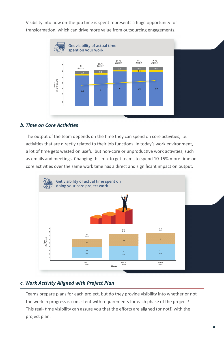

Visibility into how on-the-job time is spent represents a huge opportunity for transformation, which can drive more value from outsourcing engagements.

#### *b. Time on Core Activities*

The output of the team depends on the time they can spend on core activities, i.e. activities that are directly related to their job functions. In today's work environment, a lot of time gets wasted on useful but non-core or unproductive work activities, such as emails and meetings. Changing this mix to get teams to spend 10-15% more time on For a core activities over the same work time has a direct and significant impact on output.<br>
The output of the team depends on the time they can spend on core activities, i.e.<br>
activities that are directly related to the



### *c. Work Activity Aligned with Project Plan*

Teams prepare plans for each project, but do they provide visibility into whether or not the work in progress is consistent with requirements for each phase of the project? This real- time visibility can assure you that the efforts are aligned (or not!) with the project plan.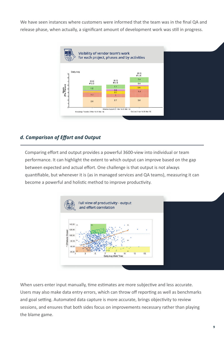We have seen instances where customers were informed that the team was in the final QA and release phase, when actually, a significant amount of development work was still in progress.



### *d. Comparison of Effort and Output*

Comparing effort and output provides a powerful 3600-view into individual or team performance. It can highlight the extent to which output can improve based on the gap between expected and actual effort. One challenge is that output is not always quan�fiable, but whenever it is (as in managed services and QA teams), measuring it can become a powerful and holistic method to improve productivity.



When users enter input manually, time estimates are more subjective and less accurate. Users may also make data entry errors, which can throw off reporting as well as benchmarks and goal setting. Automated data capture is more accurate, brings objectivity to review sessions, and ensures that both sides focus on improvements necessary rather than playing the blame game.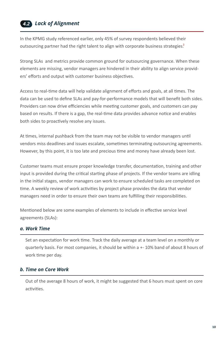## *Lack of Alignment 4.2*

In the KPMG study referenced earlier, only 45% of survey respondents believed their outsourcing partner had the right talent to align with corporate business strategies.<sup>3</sup>

Strong SLAs and metrics provide common ground for outsourcing governance. When these elements are missing, vendor managers are hindered in their ability to align service providers' efforts and output with customer business objectives.

Access to real-time data will help validate alignment of efforts and goals, at all times. The data can be used to define SLAs and pay-for-performance models that will benefit both sides. Providers can now drive efficiencies while meeting customer goals, and customers can pay based on results. If there is a gap, the real-time data provides advance notice and enables both sides to proactively resolve any issues.

At times, internal pushback from the team may not be visible to vendor managers until vendors miss deadlines and issues escalate, sometimes terminating outsourcing agreements. However, by this point, it is too late and precious time and money have already been lost.

Customer teams must ensure proper knowledge transfer, documentation, training and other input is provided during the critical starting phase of projects. If the vendor teams are idling in the initial stages, vendor managers can work to ensure scheduled tasks are completed on time. A weekly review of work activities by project phase provides the data that vendor managers need in order to ensure their own teams are fulfilling their responsibilities.

Mentioned below are some examples of elements to include in effective service level agreements (SLAs):

#### *a. Work Time*

Set an expectation for work time. Track the daily average at a team level on a monthly or quarterly basis. For most companies, it should be within a +- 10% band of about 8 hours of work time per day.

#### *b. Time on Core Work*

Out of the average 8 hours of work, it might be suggested that 6 hours must spent on core activities.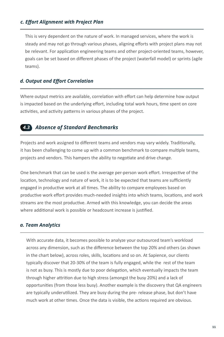#### *c. Effort Alignment with Project Plan*

This is very dependent on the nature of work. In managed services, where the work is steady and may not go through various phases, aligning efforts with project plans may not be relevant. For application engineering teams and other project-oriented teams, however, goals can be set based on different phases of the project (waterfall model) or sprints (agile teams).

#### *d. Output and Effort Correlation*

Where output metrics are available, correlation with effort can help determine how output is impacted based on the underlying effort, including total work hours, time spent on core activities, and activity patterns in various phases of the project.

#### *3 Absence of Standard Benchmarks 4.3*

Projects and work assigned to different teams and vendors may vary widely. Traditionally, it has been challenging to come up with a common benchmark to compare multiple teams, projects and vendors. This hampers the ability to negotiate and drive change.

One benchmark that can be used is the average per-person work effort. Irrespective of the location, technology and nature of work, it is to be expected that teams are sufficiently engaged in productive work at all times. The ability to compare employees based on productive work effort provides much-needed insights into which teams, locations, and work streams are the most productive. Armed with this knowledge, you can decide the areas where additional work is possible or headcount increase is justified.

#### *a. Team Analytics*

With accurate data, it becomes possible to analyze your outsourced team's workload across any dimension, such as the difference between the top 20% and others (as shown in the chart below), across roles, skills, locations and so on. At Sapience, our clients typically discover that 20-30% of the team is fully engaged, while the rest of the team is not as busy. This is mostly due to poor delegation, which eventually impacts the team through higher attrition due to high stress (amongst the busy 20%) and a lack of opportuni�es (from those less busy). Another example is the discovery that QA engineers are typically underutilized. They are busy during the pre- release phase, but don't have much work at other times. Once the data is visible, the actions required are obvious.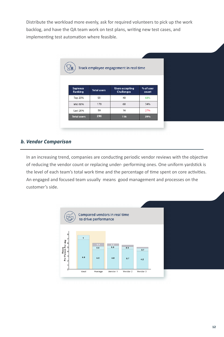Distribute the workload more evenly, ask for required volunteers to pick up the work backlog, and have the QA team work on test plans, writing new test cases, and implementing test automation where feasible.

| Track employee engagement in real time<br>魚 |                    |                                             |                    |  |  |
|---------------------------------------------|--------------------|---------------------------------------------|--------------------|--|--|
| <b>Sapience</b><br>Ranking                  | <b>Total users</b> | <b>Users accepting</b><br><b>Challenges</b> | % of user<br>count |  |  |
| Top 20%                                     | 59                 | 40                                          | 68%                |  |  |
| Mid 60%                                     | 178                | 60                                          | 34%                |  |  |
| Last 20%                                    | 59                 | 16                                          | 27%                |  |  |
| <b>Total users</b>                          | 296                | 116                                         | 39%                |  |  |

#### *b. Vendor Comparison*

In an increasing trend, companies are conducting periodic vendor reviews with the objective of reducing the vendor count or replacing under- performing ones. One uniform yardstick is the level of each team's total work time and the percentage of time spent on core activities. An engaged and focused team usually means good management and processes on the customer's side.

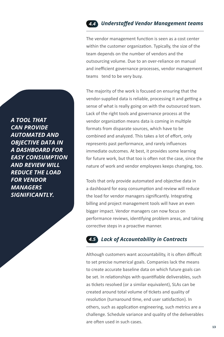## *Understaffed Vendor Management teams 4.4*

The vendor management function is seen as a cost center within the customer organization. Typically, the size of the team depends on the number of vendors and the outsourcing volume. Due to an over-reliance on manual and inefficient governance processes, vendor management teams tend to be very busy.

The majority of the work is focused on ensuring that the vendor-supplied data is reliable, processing it and getting a sense of what is really going on with the outsourced team. Lack of the right tools and governance process at the vendor organization means data is coming in multiple formats from disparate sources, which have to be combined and analyzed. This takes a lot of effort, only represents past performance, and rarely influences immediate outcomes. At best, it provides some learning for future work, but that too is often not the case, since the nature of work and vendor employees keeps changing, too.

Tools that only provide automated and objective data in a dashboard for easy consumption and review will reduce the load for vendor managers significantly. Integrating billing and project management tools will have an even bigger impact. Vendor managers can now focus on performance reviews, iden�fying problem areas, and taking corrective steps in a proactive manner.

## *Lack of Accountability in Contracts 4.5*

Although customers want accountability, it is often difficult to set precise numerical goals. Companies lack the means to create accurate baseline data on which future goals can be set. In relationships with quantifiable deliverables, such as tickets resolved (or a similar equivalent), SLAs can be created around total volume of tickets and quality of resolution (turnaround time, end user satisfaction). In others, such as application engineering, such metrics are a challenge. Schedule variance and quality of the deliverables are often used in such cases.

*A TOOL THAT CAN PROVIDE AUTOMATED AND OBJECTIVE DATA IN A DASHBOARD FOR EASY CONSUMPTION AND REVIEW WILL REDUCE THE LOAD FOR VENDOR MANAGERS SIGNIFICANTLY.*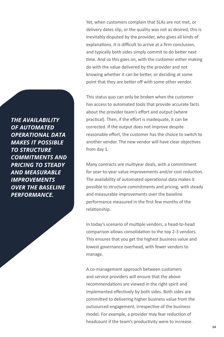Yet, when customers complain that SLAs are not met, or delivery dates slip, or the quality was not as desired, this is inevitably disputed by the provider, who gives all kinds of explanations. It is difficult to arrive at a firm conclusion, and typically both sides simply commit to do better next time. And so this goes on, with the customer either making do with the value delivered by the provider and not knowing whether it can be better, or deciding at some point that they are better off with some other vendor.

This status quo can only be broken when the customer has access to automated tools that provide accurate facts about the provider team's effort and output (where practical). Then, if the effort is inadequate, it can be corrected. If the output does not improve despite reasonable effort, the customer has the choice to switch to another vendor. The new vendor will have clear objectives from day 1.

Many contracts are multiyear deals, with a commitment for year-to-year value improvements and/or cost reduction. The availability of automated operational data makes it possible to structure commitments and pricing, with steady and measurable improvements over the baseline performance measured in the first few months of the relationship.

In today's scenario of multiple vendors, a head-to-head comparison allows consolidation to the top 2-3 vendors. This ensures that you get the highest business value and lowest governance overhead, with fewer vendors to manage.

A co-management approach between customers and service providers will ensure that the above recommendations are viewed in the right spirit and implemented effectively by both sides. Both sides are committed to delivering higher business value from the outsourced engagement, irrespective of the business model. For example, a provider may fear reduction of headcount if the team's productivity were to increase.

*THE AVAILABILITY OF AUTOMATED OPERATIONAL DATA MAKES IT POSSIBLE TO STRUCTURE COMMITMENTS AND PRICING TO STEADY AND MEASURABLE IMPROVEMENTS OVER THE BASELINE PERFORMANCE.*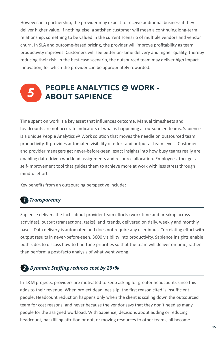However, in a partnership, the provider may expect to receive additional business if they deliver higher value. If nothing else, a satisfied customer will mean a continuing long-term relationship, something to be valued in the current scenario of multiple vendors and vendor churn. In SLA and outcome-based pricing, the provider will improve profitability as team productivity improves. Customers will see better on- time delivery and higher quality, thereby reducing their risk. In the best-case scenario, the outsourced team may deliver high impact innovation, for which the provider can be appropriately rewarded.

# **PEOPLE ANALYTICS @ WORK -** *5* **ABOUT SAPIENCE**

Time spent on work is a key asset that influences outcome. Manual timesheets and headcounts are not accurate indicators of what is happening at outsourced teams. Sapience is a unique People Analytics  $\omega$  Work solution that moves the needle on outsourced team productivity. It provides automated visibility of effort and output at team levels. Customer and provider managers get never-before-seen, exact insights into how busy teams really are, enabling data-driven workload assignments and resource allocation. Employees, too, get a self-improvement tool that guides them to achieve more at work with less stress through mindful effort.

Key benefits from an outsourcing perspective include:

### *Transparency 1*

Sapience delivers the facts about provider team efforts (work time and breakup across activities), output (transactions, tasks), and trends, delivered on daily, weekly and monthly bases. Data delivery is automated and does not require any user input. Correlating effort with output results in never-before-seen, 3600 visibility into productivity. Sapience insights enable both sides to discuss how to fine-tune priorities so that the team will deliver on time, rather than perform a post-facto analysis of what went wrong.

### *Dynamic Staffing reduces cost by 20+% 2*

In T&M projects, providers are motivated to keep asking for greater headcounts since this adds to their revenue. When project deadlines slip, the first reason cited is insufficient people. Headcount reduction happens only when the client is scaling down the outsourced team for cost reasons, and never because the vendor says that they don't need as many people for the assigned workload. With Sapience, decisions about adding or reducing headcount, backfilling attrition or not, or moving resources to other teams, all become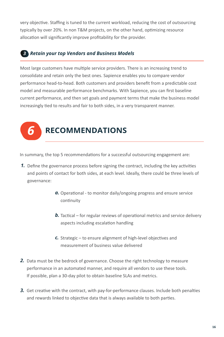very objective. Staffing is tuned to the current workload, reducing the cost of outsourcing typically by over 20%. In non T&M projects, on the other hand, optimizing resource allocation will significantly improve profitability for the provider.

## *Retain your top Vendors and Business Models 3*

Most large customers have multiple service providers. There is an increasing trend to consolidate and retain only the best ones. Sapience enables you to compare vendor performance head-to-head. Both customers and providers benefit from a predictable cost model and measurable performance benchmarks. With Sapience, you can first baseline current performance, and then set goals and payment terms that make the business model increasingly tied to results and fair to both sides, in a very transparent manner.

## *6* **RECOMMENDATIONS**

In summary, the top 5 recommendations for a successful outsourcing engagement are:

- **1.** Define the governance process before signing the contract, including the key activities and points of contact for both sides, at each level. Ideally, there could be three levels of governance:
	- a. Operational to monitor daily/ongoing progress and ensure service continuity
	- **b.** Tactical for regular reviews of operational metrics and service delivery aspects including escalation handling
	- c. Strategic to ensure alignment of high-level objectives and measurement of business value delivered
- 2. Data must be the bedrock of governance. Choose the right technology to measure performance in an automated manner, and require all vendors to use these tools. If possible, plan a 30-day pilot to obtain baseline SLAs and metrics.
- 3. Get creative with the contract, with pay-for-performance clauses. Include both penalties and rewards linked to objective data that is always available to both parties.